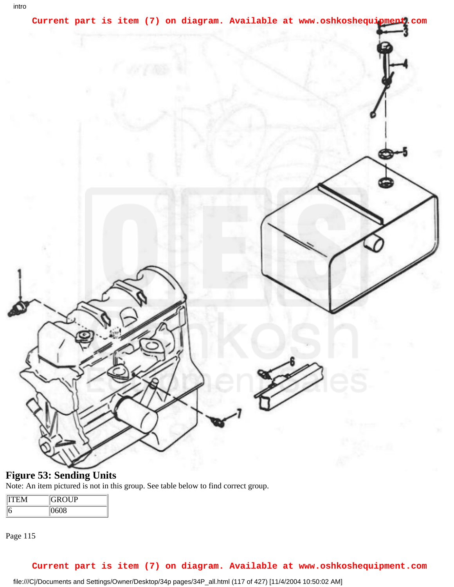

## **Figure 53: Sending Units**

Note: An item pictured is not in this group. See table below to find correct group.

| <b>GROUP</b> |
|--------------|
| i08          |

Page 115

## **Current part is item (7) on diagram. Available at www.oshkoshequipment.com**